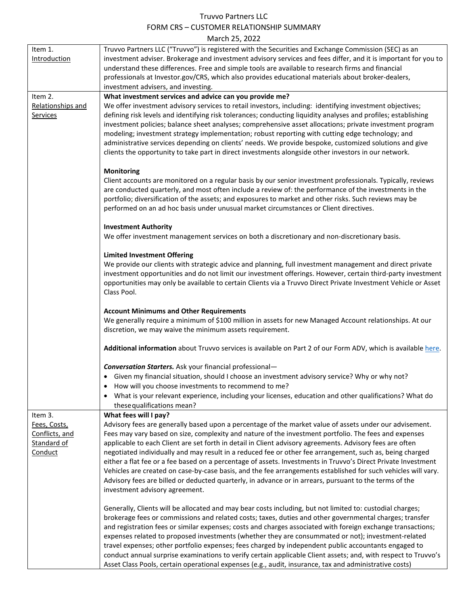## Truvvo Partners LLC FORM CRS – CUSTOMER RELATIONSHIP SUMMARY March 25, 2022

|                   | IVIDILII ZJ, ZUZZ                                                                                                                                                                                                          |
|-------------------|----------------------------------------------------------------------------------------------------------------------------------------------------------------------------------------------------------------------------|
| Item 1.           | Truvvo Partners LLC ("Truvvo") is registered with the Securities and Exchange Commission (SEC) as an                                                                                                                       |
| Introduction      | investment adviser. Brokerage and investment advisory services and fees differ, and it is important for you to                                                                                                             |
|                   | understand these differences. Free and simple tools are available to research firms and financial                                                                                                                          |
|                   | professionals at Investor.gov/CRS, which also provides educational materials about broker-dealers,                                                                                                                         |
|                   | investment advisers, and investing.                                                                                                                                                                                        |
| Item 2.           | What investment services and advice can you provide me?                                                                                                                                                                    |
| Relationships and | We offer investment advisory services to retail investors, including: identifying investment objectives;                                                                                                                   |
| Services          | defining risk levels and identifying risk tolerances; conducting liquidity analyses and profiles; establishing<br>investment policies; balance sheet analyses; comprehensive asset allocations; private investment program |
|                   | modeling; investment strategy implementation; robust reporting with cutting edge technology; and                                                                                                                           |
|                   | administrative services depending on clients' needs. We provide bespoke, customized solutions and give                                                                                                                     |
|                   | clients the opportunity to take part in direct investments alongside other investors in our network.                                                                                                                       |
|                   |                                                                                                                                                                                                                            |
|                   | <b>Monitoring</b>                                                                                                                                                                                                          |
|                   | Client accounts are monitored on a regular basis by our senior investment professionals. Typically, reviews                                                                                                                |
|                   | are conducted quarterly, and most often include a review of: the performance of the investments in the                                                                                                                     |
|                   | portfolio; diversification of the assets; and exposures to market and other risks. Such reviews may be                                                                                                                     |
|                   | performed on an ad hoc basis under unusual market circumstances or Client directives.                                                                                                                                      |
|                   |                                                                                                                                                                                                                            |
|                   | <b>Investment Authority</b><br>We offer investment management services on both a discretionary and non-discretionary basis.                                                                                                |
|                   |                                                                                                                                                                                                                            |
|                   | <b>Limited Investment Offering</b>                                                                                                                                                                                         |
|                   | We provide our clients with strategic advice and planning, full investment management and direct private                                                                                                                   |
|                   | investment opportunities and do not limit our investment offerings. However, certain third-party investment                                                                                                                |
|                   | opportunities may only be available to certain Clients via a Truvvo Direct Private Investment Vehicle or Asset                                                                                                             |
|                   | Class Pool.                                                                                                                                                                                                                |
|                   |                                                                                                                                                                                                                            |
|                   | <b>Account Minimums and Other Requirements</b>                                                                                                                                                                             |
|                   | We generally require a minimum of \$100 million in assets for new Managed Account relationships. At our                                                                                                                    |
|                   | discretion, we may waive the minimum assets requirement.                                                                                                                                                                   |
|                   | Additional information about Truvvo services is available on Part 2 of our Form ADV, which is available here.                                                                                                              |
|                   |                                                                                                                                                                                                                            |
|                   | <b>Conversation Starters.</b> Ask your financial professional-                                                                                                                                                             |
|                   | • Given my financial situation, should I choose an investment advisory service? Why or why not?                                                                                                                            |
|                   | How will you choose investments to recommend to me?<br>$\bullet$                                                                                                                                                           |
|                   | What is your relevant experience, including your licenses, education and other qualifications? What do                                                                                                                     |
|                   | these qualifications mean?                                                                                                                                                                                                 |
| Item 3.           | What fees will I pay?                                                                                                                                                                                                      |
| Fees, Costs,      | Advisory fees are generally based upon a percentage of the market value of assets under our advisement.                                                                                                                    |
| Conflicts, and    | Fees may vary based on size, complexity and nature of the investment portfolio. The fees and expenses                                                                                                                      |
| Standard of       | applicable to each Client are set forth in detail in Client advisory agreements. Advisory fees are often                                                                                                                   |
| Conduct           | negotiated individually and may result in a reduced fee or other fee arrangement, such as, being charged<br>either a flat fee or a fee based on a percentage of assets. Investments in Truvvo's Direct Private Investment  |
|                   | Vehicles are created on case-by-case basis, and the fee arrangements established for such vehicles will vary.                                                                                                              |
|                   | Advisory fees are billed or deducted quarterly, in advance or in arrears, pursuant to the terms of the                                                                                                                     |
|                   | investment advisory agreement.                                                                                                                                                                                             |
|                   |                                                                                                                                                                                                                            |
|                   | Generally, Clients will be allocated and may bear costs including, but not limited to: custodial charges;                                                                                                                  |
|                   | brokerage fees or commissions and related costs; taxes, duties and other governmental charges; transfer                                                                                                                    |
|                   | and registration fees or similar expenses; costs and charges associated with foreign exchange transactions;                                                                                                                |
|                   | expenses related to proposed investments (whether they are consummated or not); investment-related                                                                                                                         |
|                   | travel expenses; other portfolio expenses; fees charged by independent public accountants engaged to                                                                                                                       |
|                   | conduct annual surprise examinations to verify certain applicable Client assets; and, with respect to Truvvo's                                                                                                             |
|                   | Asset Class Pools, certain operational expenses (e.g., audit, insurance, tax and administrative costs)                                                                                                                     |